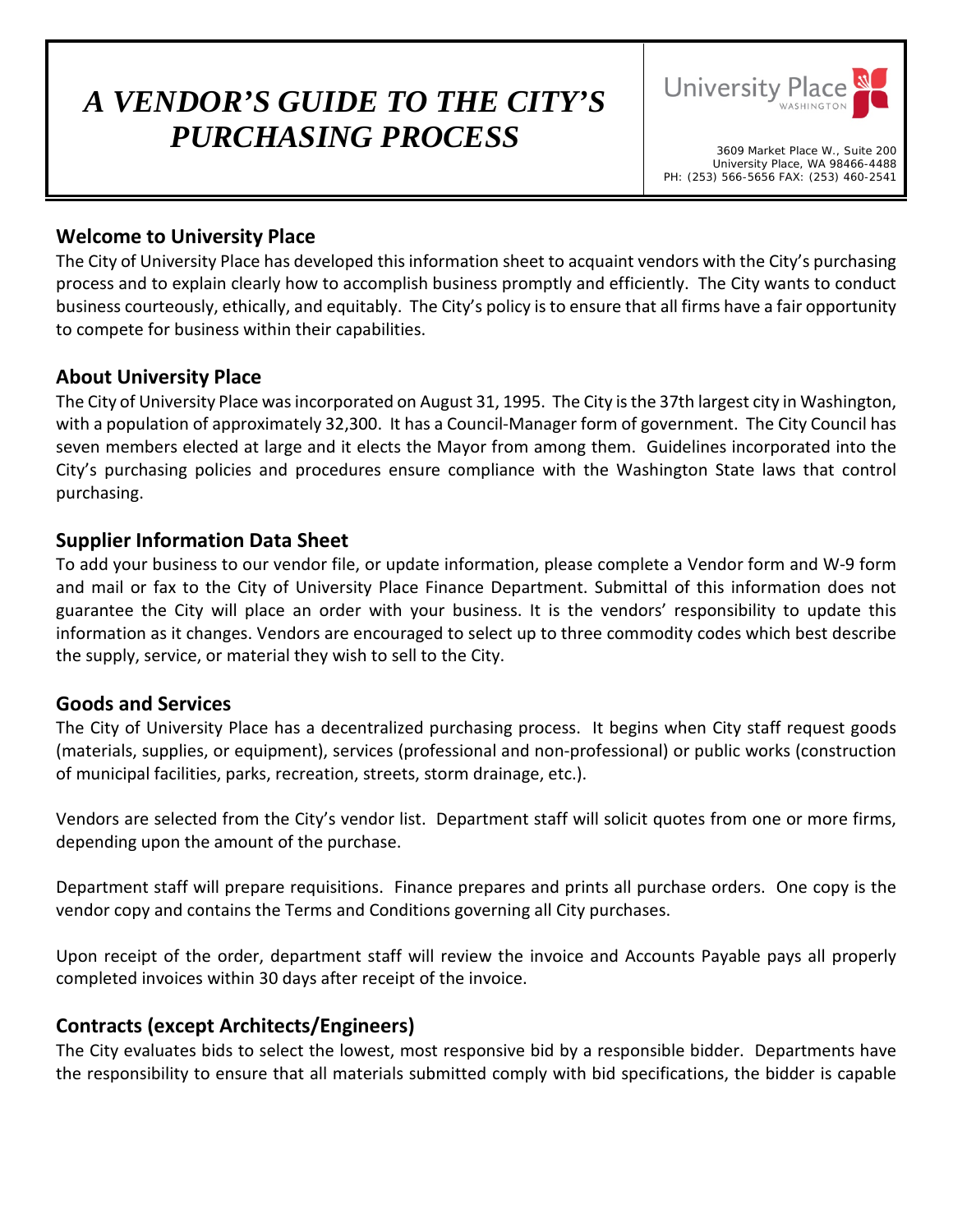# *A VENDOR'S GUIDE TO THE CITY'S PURCHASING PROCESS* 3609 Market Place W., Suite 200



University Place, WA 98466-4488 PH: (253) 566-5656 FAX: (253) 460-2541

## **Welcome to University Place**

The City of University Place has developed this information sheet to acquaint vendors with the City's purchasing process and to explain clearly how to accomplish business promptly and efficiently. The City wants to conduct business courteously, ethically, and equitably. The City's policy is to ensure that all firms have a fair opportunity to compete for business within their capabilities.

## **About University Place**

The City of University Place was incorporated on August 31, 1995. The City is the 37th largest city in Washington, with a population of approximately 32,300. It has a Council-Manager form of government. The City Council has seven members elected at large and it elects the Mayor from among them. Guidelines incorporated into the City's purchasing policies and procedures ensure compliance with the Washington State laws that control purchasing.

## **Supplier Information Data Sheet**

To add your business to our vendor file, or update information, please complete a Vendor form and W-9 form and mail or fax to the City of University Place Finance Department. Submittal of this information does not guarantee the City will place an order with your business. It is the vendors' responsibility to update this information as it changes. Vendors are encouraged to select up to three commodity codes which best describe the supply, service, or material they wish to sell to the City.

### **Goods and Services**

The City of University Place has a decentralized purchasing process. It begins when City staff request goods (materials, supplies, or equipment), services (professional and non-professional) or public works (construction of municipal facilities, parks, recreation, streets, storm drainage, etc.).

Vendors are selected from the City's vendor list. Department staff will solicit quotes from one or more firms, depending upon the amount of the purchase.

Department staff will prepare requisitions. Finance prepares and prints all purchase orders. One copy is the vendor copy and contains the Terms and Conditions governing all City purchases.

Upon receipt of the order, department staff will review the invoice and Accounts Payable pays all properly completed invoices within 30 days after receipt of the invoice.

### **Contracts (except Architects/Engineers)**

The City evaluates bids to select the lowest, most responsive bid by a responsible bidder. Departments have the responsibility to ensure that all materials submitted comply with bid specifications, the bidder is capable